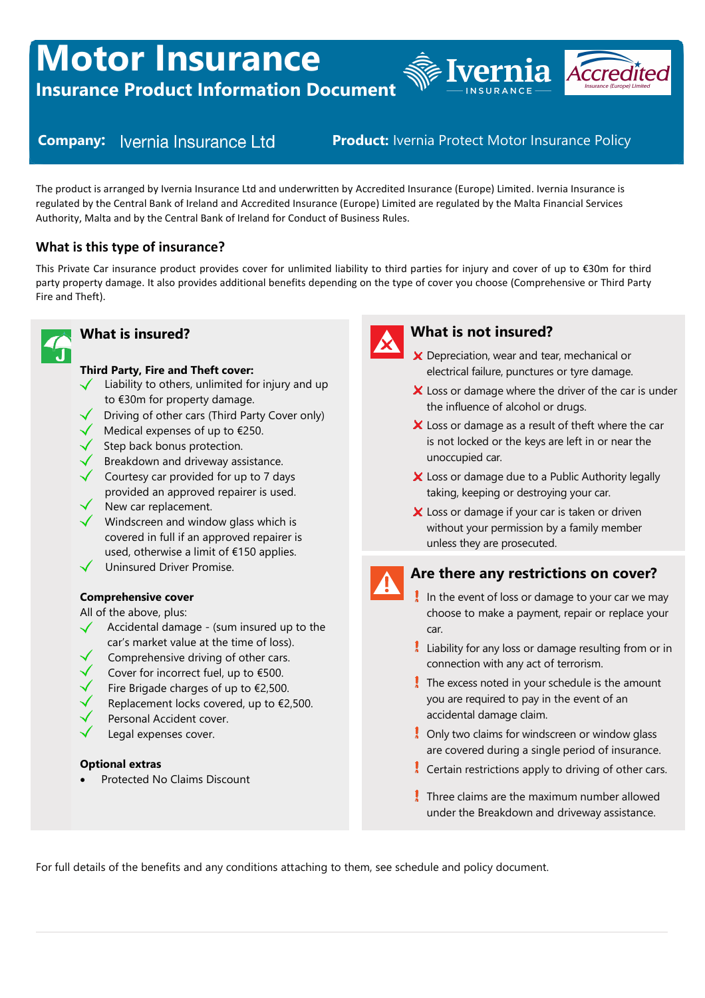# **Motor Insurance**

**Insurance Product Information Document**



**Company: Vernia Insurance Ltd Product: Ivernia Protect Motor Insurance Policy** 

The product is arranged by Ivernia Insurance Ltd and underwritten by Accredited Insurance (Europe) Limited. Ivernia Insurance is regulated by the Central Bank of Ireland and Accredited Insurance (Europe) Limited are regulated by the Malta Financial Services Authority, Malta and by the Central Bank of Ireland for Conduct of Business Rules.

# **What is this type of insurance?**

This Private Car insurance product provides cover for unlimited liability to third parties for injury and cover of up to €30m for third party property damage. It also provides additional benefits depending on the type of cover you choose (Comprehensive or Third Party Fire and Theft).



# **What is insured?**

#### **Third Party, Fire and Theft cover:**

- $\checkmark$  Liability to others, unlimited for injury and up to €30m for property damage.
- **Driving of other cars (Third Party Cover only)**
- Medical expenses of up to  $\epsilon$ 250.
- $\angle$  Step back bonus protection.
- **Breakdown and driveway assistance.**
- Courtesy car provided for up to 7 days provided an approved repairer is used.
- New car replacement.
- $\sqrt{\phantom{a}}$  Windscreen and window glass which is covered in full if an approved repairer is used, otherwise a limit of €150 applies.
- $\checkmark$  Uninsured Driver Promise.

#### **Comprehensive cover**

All of the above, plus:

- $\sqrt{\phantom{a}}$  Accidental damage (sum insured up to the car's market value at the time of loss).
- Comprehensive driving of other cars.
- Cover for incorrect fuel, up to €500.
- Fire Brigade charges of up to €2,500.
- Replacement locks covered, up to €2,500.
- Personal Accident cover.
- Legal expenses cover.

#### **Optional extras**

Protected No Claims Discount



# **What is not insured?**

- X Depreciation, wear and tear, mechanical or electrical failure, punctures or tyre damage.
- X Loss or damage where the driver of the car is under the influence of alcohol or drugs.
- $\boldsymbol{\times}$  Loss or damage as a result of theft where the car is not locked or the keys are left in or near the unoccupied car.
- X Loss or damage due to a Public Authority legally taking, keeping or destroying your car.
- X Loss or damage if your car is taken or driven without your permission by a family member unless they are prosecuted.



#### **Are there any restrictions on cover?**

- In the event of loss or damage to your car we may choose to make a payment, repair or replace your car.
- $\frac{1}{2}$  Liability for any loss or damage resulting from or in connection with any act of terrorism.
- $\frac{1}{3}$  The excess noted in your schedule is the amount you are required to pay in the event of an accidental damage claim.
- $\blacksquare$  Only two claims for windscreen or window glass are covered during a single period of insurance.
- $\frac{1}{2}$  Certain restrictions apply to driving of other cars.
- Three claims are the maximum number allowed under the Breakdown and driveway assistance.

For full details of the benefits and any conditions attaching to them, see schedule and policy document.